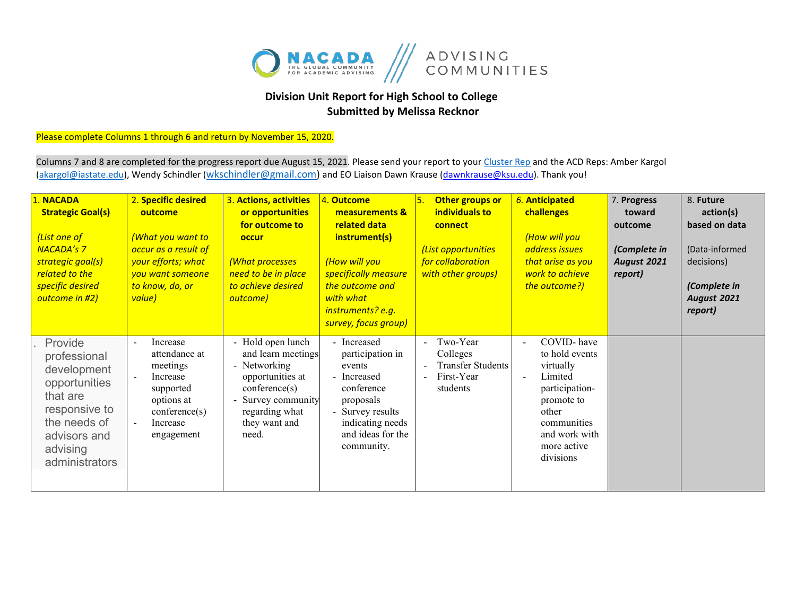

## **Division Unit Report for High School to College Submitted by Melissa Recknor**

## Please complete Columns 1 through 6 and return by November 15, 2020.

Columns 7 and 8 are completed for the progress report due August 15, 2021. Please send your report to you[r Cluster Rep](https://nacada.ksu.edu/Portals/0/CandIGDivision/documents/2020ClusterReps.pdf?ver=2020-03-10-170345-173) and the ACD Reps: Amber Kargol [\(akargol@iastate.edu\)](mailto:akargol@iastate.edu), Wendy Schindler [\(wkschindler@gmail.com\)](mailto:wkschindler@gmail.com) and EO Liaison Dawn Krause (dawnkrause@ksu.edu). Thank you!

| 1. NACADA<br><b>Strategic Goal(s)</b><br>(List one of<br><b>NACADA's 7</b><br>strategic goal(s)<br>related to the<br>specific desired<br>outcome in #2) | 2. Specific desired<br>outcome<br>(What you want to<br>occur as a result of<br>your efforts; what<br>you want someone<br>to know, do, or<br>value)  | 3. Actions, activities<br>or opportunities<br>for outcome to<br>occur<br>(What processes<br>need to be in place<br>to achieve desired<br>outcome)            | 4. Outcome<br>measurements &<br>related data<br>instrument(s)<br>(How will you<br>specifically measure<br>the outcome and<br>with what<br>instruments? e.g.<br>survey, focus group) | Other groups or<br>individuals to<br>connect<br>(List opportunities<br>for collaboration<br>with other groups) | 6. Anticipated<br>challenges<br>(How will you<br>address issues<br>that arise as you<br>work to achieve<br>the outcome?)                                                    | 7. Progress<br>toward<br>outcome<br>(Complete in<br>August 2021<br>report) | 8. Future<br>action(s)<br>based on data<br>(Data-informed<br>decisions)<br>(Complete in<br><b>August 2021</b><br>report) |
|---------------------------------------------------------------------------------------------------------------------------------------------------------|-----------------------------------------------------------------------------------------------------------------------------------------------------|--------------------------------------------------------------------------------------------------------------------------------------------------------------|-------------------------------------------------------------------------------------------------------------------------------------------------------------------------------------|----------------------------------------------------------------------------------------------------------------|-----------------------------------------------------------------------------------------------------------------------------------------------------------------------------|----------------------------------------------------------------------------|--------------------------------------------------------------------------------------------------------------------------|
| Provide<br>professional<br>development<br>opportunities<br>that are<br>responsive to<br>the needs of<br>advisors and<br>advising<br>administrators      | Increase<br>$\overline{\phantom{a}}$<br>attendance at<br>meetings<br>Increase<br>supported<br>options at<br>conference(s)<br>Increase<br>engagement | - Hold open lunch<br>and learn meetings<br>- Networking<br>opportunities at<br>conference(s)<br>Survey community<br>regarding what<br>they want and<br>need. | - Increased<br>participation in<br>events<br>- Increased<br>conference<br>proposals<br>Survey results<br>indicating needs<br>and ideas for the<br>community.                        | - Two-Year<br>Colleges<br><b>Transfer Students</b><br>First-Year<br>students                                   | COVID-have<br>$\blacksquare$<br>to hold events<br>virtually<br>Limited<br>participation-<br>promote to<br>other<br>communities<br>and work with<br>more active<br>divisions |                                                                            |                                                                                                                          |